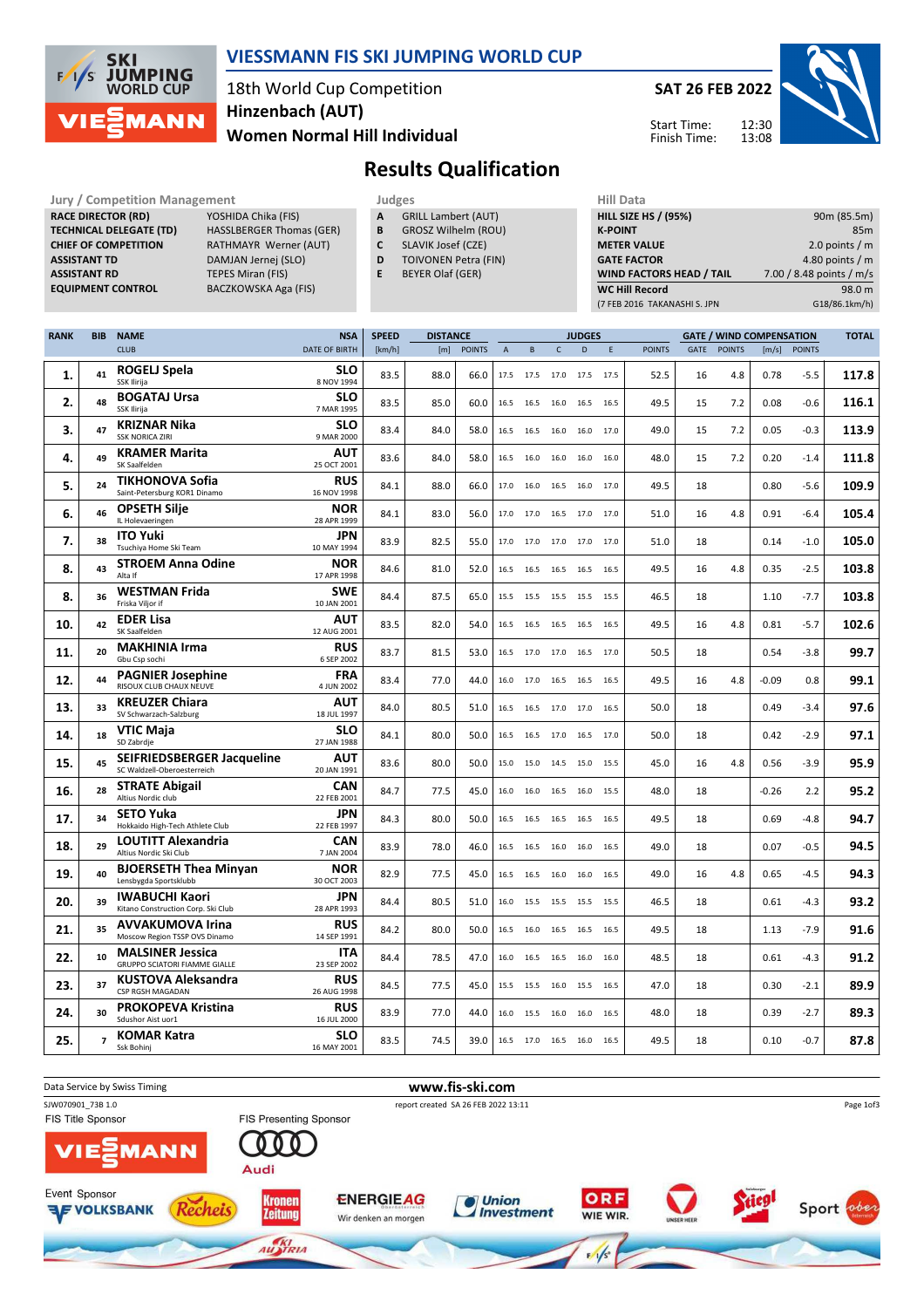

#### VIESSMANN FIS SKI JUMPING WORLD CUP

## 18th World Cup Competition Women Normal Hill Individual Hinzenbach (AUT)





# Results Qualification

| <b>Jury / Competition Management</b> |                                 | <b>Judges</b> |                             | <b>Hill Data</b>   |
|--------------------------------------|---------------------------------|---------------|-----------------------------|--------------------|
| <b>RACE DIRECTOR (RD)</b>            | YOSHIDA Chika (FIS)             | A             | <b>GRILL Lambert (AUT)</b>  | <b>HILL SIZE H</b> |
| <b>TECHNICAL DELEGATE (TD)</b>       | <b>HASSLBERGER Thomas (GER)</b> | В             | <b>GROSZ Wilhelm (ROU)</b>  | <b>K-POINT</b>     |
| <b>CHIEF OF COMPETITION</b>          | RATHMAYR Werner (AUT)           |               | SLAVIK Josef (CZE)          | <b>METER VA</b>    |
| <b>ASSISTANT TD</b>                  | DAMJAN Jernej (SLO)             | D             | <b>TOIVONEN Petra (FIN)</b> | <b>GATE FACT</b>   |
| <b>ASSISTANT RD</b>                  | TEPES Miran (FIS)               |               | <b>BEYER Olaf (GER)</b>     | <b>WIND FAC</b>    |
| <b>FOUIPMENT CONTROL</b>             | <b>RACZKOWSKA Aga (FIS)</b>     |               |                             | <b>MC Hill Re</b>  |

- A GRILL Lambert (AUT)
- **B** GROSZ Wilhelm (ROU)<br>**C** SLAVIK Josef (CZE)
	- SLAVIK Josef (CZE)
- D TOIVONEN Petra (FIN)
- E BEYER Olaf (GER)

| <b>HILL SIZE HS / (95%)</b>     | 90m (85.5m)              |
|---------------------------------|--------------------------|
| <b>K-POINT</b>                  | 85 <sub>m</sub>          |
| <b>METER VALUE</b>              | 2.0 points $/m$          |
| <b>GATE FACTOR</b>              | 4.80 points $/m$         |
| <b>WIND FACTORS HEAD / TAIL</b> | 7.00 / 8.48 points / m/s |
| <b>WC Hill Record</b>           | 98.0 m                   |
| (7 FEB 2016 TAKANASHI S. JPN    | G18/86.1km/h)            |

| <b>RANK</b> | <b>BIB</b>     | <b>NAME</b>                                                      | <b>NSA</b>                | <b>SPEED</b> | <b>DISTANCE</b> |               |                |           |              | <b>JUDGES</b>  |      |               |      |               | <b>GATE / WIND COMPENSATION</b> |               | <b>TOTAL</b> |
|-------------|----------------|------------------------------------------------------------------|---------------------------|--------------|-----------------|---------------|----------------|-----------|--------------|----------------|------|---------------|------|---------------|---------------------------------|---------------|--------------|
|             |                | <b>CLUB</b>                                                      | <b>DATE OF BIRTH</b>      | [km/h]       | [m]             | <b>POINTS</b> | $\overline{A}$ | B         | $\mathsf{C}$ | D              | E    | <b>POINTS</b> | GATE | <b>POINTS</b> | [m/s]                           | <b>POINTS</b> |              |
| 1.          | 41             | ROGELJ Spela<br>SSK Ilirija                                      | SLO<br>8 NOV 1994         | 83.5         | 88.0            | 66.0          | 17.5           | 17.5      | 17.0         | 17.5           | 17.5 | 52.5          | 16   | 4.8           | 0.78                            | $-5.5$        | 117.8        |
| 2.          | 48             | <b>BOGATAJ Ursa</b><br>SSK Ilirija                               | SLO<br>7 MAR 1995         | 83.5         | 85.0            | 60.0          |                | 16.5 16.5 |              | 16.0 16.5 16.5 |      | 49.5          | 15   | 7.2           | 0.08                            | $-0.6$        | 116.1        |
| 3.          | 47             | <b>KRIZNAR Nika</b><br><b>SSK NORICA ZIRI</b>                    | SLO<br>9 MAR 2000         | 83.4         | 84.0            | 58.0          |                | 16.5 16.5 | 16.0         | 16.0           | 17.0 | 49.0          | 15   | 7.2           | 0.05                            | $-0.3$        | 113.9        |
| 4.          | 49             | <b>KRAMER Marita</b><br>SK Saalfelden                            | AUT<br>25 OCT 2001        | 83.6         | 84.0            | 58.0          | 16.5           | 16.0      | 16.0         | 16.0           | 16.0 | 48.0          | 15   | 7.2           | 0.20                            | $-1.4$        | 111.8        |
| 5.          | 24             | <b>TIKHONOVA Sofia</b><br>Saint-Petersburg KOR1 Dinamo           | <b>RUS</b><br>16 NOV 1998 | 84.1         | 88.0            | 66.0          | 17.0           | 16.0      | 16.5         | 16.0           | 17.0 | 49.5          | 18   |               | 0.80                            | $-5.6$        | 109.9        |
| 6.          | 46             | <b>OPSETH Silje</b><br>IL Holevaeringen                          | <b>NOR</b><br>28 APR 1999 | 84.1         | 83.0            | 56.0          | 17.0           | 17.0      | 16.5         | 17.0           | 17.0 | 51.0          | 16   | 4.8           | 0.91                            | $-6.4$        | 105.4        |
| 7.          | 38             | <b>ITO Yuki</b><br>Tsuchiya Home Ski Team                        | JPN<br>10 MAY 1994        | 83.9         | 82.5            | 55.0          | 17.0           | 17.0      | 17.0         | 17.0           | 17.0 | 51.0          | 18   |               | 0.14                            | $-1.0$        | 105.0        |
| 8.          | 43             | <b>STROEM Anna Odine</b><br>Alta If                              | <b>NOR</b><br>17 APR 1998 | 84.6         | 81.0            | 52.0          |                | 16.5 16.5 |              | 16.5 16.5 16.5 |      | 49.5          | 16   | 4.8           | 0.35                            | $-2.5$        | 103.8        |
| 8.          | 36             | <b>WESTMAN Frida</b><br>Friska Viljor if                         | <b>SWE</b><br>10 JAN 2001 | 84.4         | 87.5            | 65.0          |                | 15.5 15.5 |              | 15.5 15.5 15.5 |      | 46.5          | 18   |               | 1.10                            | $-7.7$        | 103.8        |
| 10.         | 42             | <b>EDER Lisa</b><br>SK Saalfelden                                | AUT<br>12 AUG 2001        | 83.5         | 82.0            | 54.0          |                | 16.5 16.5 | 16.5         | 16.5 16.5      |      | 49.5          | 16   | 4.8           | 0.81                            | $-5.7$        | 102.6        |
| 11.         | 20             | <b>MAKHINIA Irma</b><br>Gbu Csp sochi                            | <b>RUS</b><br>6 SEP 2002  | 83.7         | 81.5            | 53.0          | 16.5           | 17.0      | 17.0         | 16.5           | 17.0 | 50.5          | 18   |               | 0.54                            | $-3.8$        | 99.7         |
| 12.         | 44             | <b>PAGNIER Josephine</b><br>RISOUX CLUB CHAUX NEUVE              | <b>FRA</b><br>4 JUN 2002  | 83.4         | 77.0            | 44.0          | 16.0           | 17.0      | 16.5         | 16.5           | 16.5 | 49.5          | 16   | 4.8           | $-0.09$                         | 0.8           | 99.1         |
| 13.         | 33             | <b>KREUZER Chiara</b><br>SV Schwarzach-Salzburg                  | <b>AUT</b><br>18 JUL 1997 | 84.0         | 80.5            | 51.0          | 16.5           | 16.5      | 17.0         | 17.0           | 16.5 | 50.0          | 18   |               | 0.49                            | $-3.4$        | 97.6         |
| 14.         | 18             | VTIC Maja<br>SD Zabrdje                                          | <b>SLO</b><br>27 JAN 1988 | 84.1         | 80.0            | 50.0          | 16.5           | 16.5      | 17.0         | 16.5           | 17.0 | 50.0          | 18   |               | 0.42                            | $-2.9$        | 97.1         |
| 15.         | 45             | <b>SEIFRIEDSBERGER Jacqueline</b><br>SC Waldzell-Oberoesterreich | <b>AUT</b><br>20 JAN 1991 | 83.6         | 80.0            | 50.0          | 15.0           | 15.0      | 14.5         | 15.0           | 15.5 | 45.0          | 16   | 4.8           | 0.56                            | $-3.9$        | 95.9         |
| 16.         | 28             | <b>STRATE Abigail</b><br>Altius Nordic club                      | CAN<br>22 FEB 2001        | 84.7         | 77.5            | 45.0          | 16.0           | 16.0      |              | 16.5 16.0 15.5 |      | 48.0          | 18   |               | $-0.26$                         | 2.2           | 95.2         |
| 17.         | 34             | <b>SETO Yuka</b><br>Hokkaido High-Tech Athlete Club              | JPN<br>22 FEB 1997        | 84.3         | 80.0            | 50.0          | 16.5           | 16.5      | 16.5         | 16.5 16.5      |      | 49.5          | 18   |               | 0.69                            | $-4.8$        | 94.7         |
| 18.         | 29             | <b>LOUTITT Alexandria</b><br>Altius Nordic Ski Club              | CAN<br>7 JAN 2004         | 83.9         | 78.0            | 46.0          | 16.5           | 16.5      | 16.0         | 16.0           | 16.5 | 49.0          | 18   |               | 0.07                            | $-0.5$        | 94.5         |
| 19.         | 40             | <b>BJOERSETH Thea Minyan</b><br>Lensbygda Sportsklubb            | <b>NOR</b><br>30 OCT 2003 | 82.9         | 77.5            | 45.0          | 16.5           | 16.5      | 16.0         | 16.0           | 16.5 | 49.0          | 16   | 4.8           | 0.65                            | -4.5          | 94.3         |
| 20.         | 39             | <b>IWABUCHI Kaori</b><br>Kitano Construction Corp. Ski Club      | JPN<br>28 APR 1993        | 84.4         | 80.5            | 51.0          | 16.0           | 15.5      | 15.5         | 15.5           | 15.5 | 46.5          | 18   |               | 0.61                            | $-4.3$        | 93.2         |
| 21.         | 35             | <b>AVVAKUMOVA Irina</b><br>Moscow Region TSSP OVS Dinamo         | <b>RUS</b><br>14 SEP 1991 | 84.2         | 80.0            | 50.0          | 16.5           | 16.0      | 16.5         | 16.5           | 16.5 | 49.5          | 18   |               | 1.13                            | $-7.9$        | 91.6         |
| 22.         | 10             | <b>MALSINER Jessica</b><br><b>GRUPPO SCIATORI FIAMME GIALLE</b>  | ITA<br>23 SEP 2002        | 84.4         | 78.5            | 47.0          |                | 16.0 16.5 | 16.5         | 16.0           | 16.0 | 48.5          | 18   |               | 0.61                            | $-4.3$        | 91.2         |
| 23.         | 37             | <b>KUSTOVA Aleksandra</b><br>CSP RGSH MAGADAN                    | <b>RUS</b><br>26 AUG 1998 | 84.5         | 77.5            | 45.0          | 15.5           | 15.5      |              | 16.0 15.5 16.5 |      | 47.0          | 18   |               | 0.30                            | -2.1          | 89.9         |
| 24.         | 30             | <b>PROKOPEVA Kristina</b><br>Sdushor Aist uor1                   | <b>RUS</b><br>16 JUL 2000 | 83.9         | 77.0            | 44.0          | 16.0           | 15.5      | 16.0         | 16.0           | 16.5 | 48.0          | 18   |               | 0.39                            | $-2.7$        | 89.3         |
| 25.         | $\overline{ }$ | <b>KOMAR Katra</b><br>Ssk Bohinj                                 | SLO<br>16 MAY 2001        | 83.5         | 74.5            | 39.0          |                | 16.5 17.0 |              | 16.5 16.0 16.5 |      | 49.5          | 18   |               | 0.10                            | $-0.7$        | 87.8         |

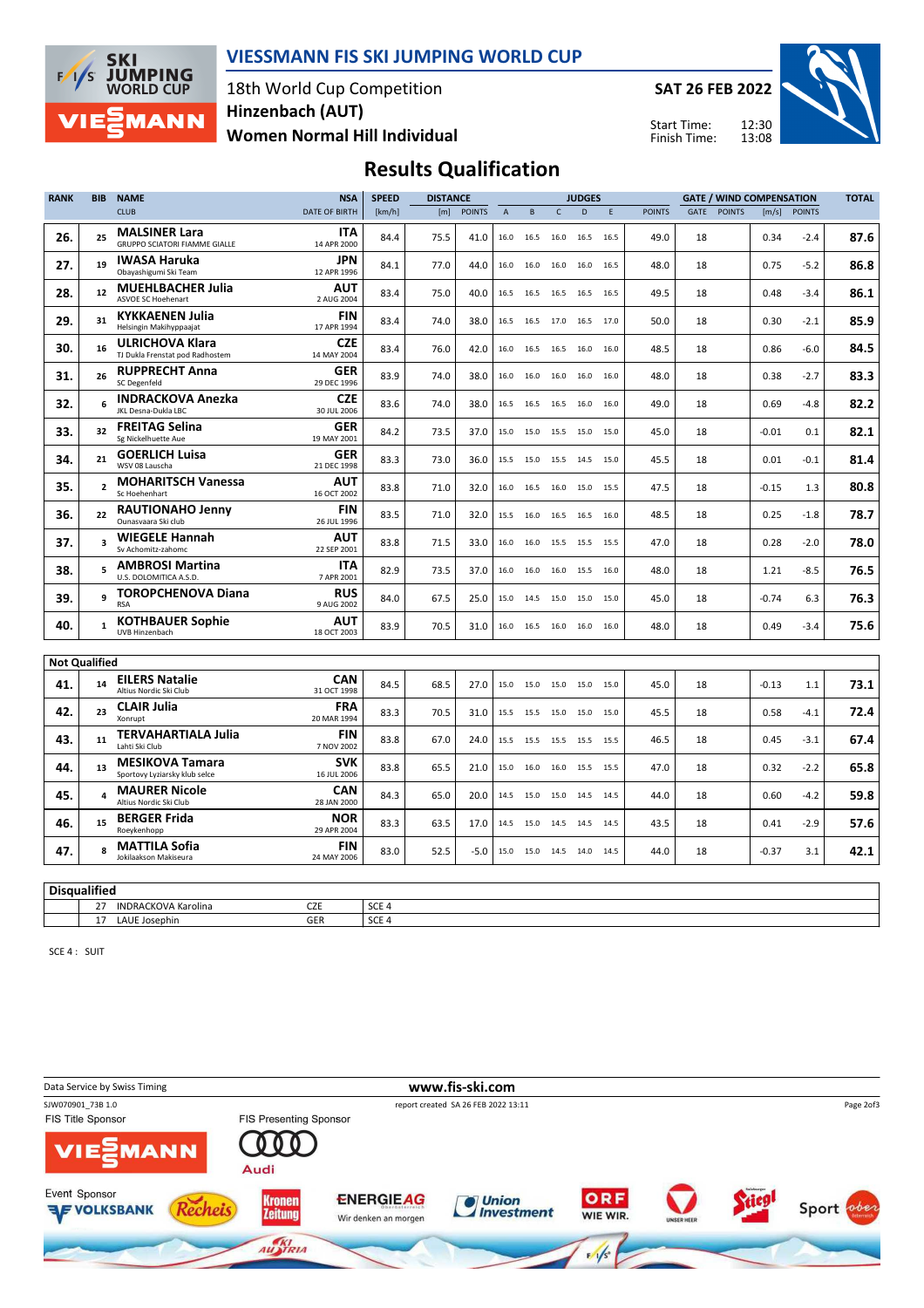

## VIESSMANN FIS SKI JUMPING WORLD CUP

18th World Cup Competition Women Normal Hill Individual Hinzenbach (AUT)

SAT 26 FEB 2022

Start Time: Finish Time:



# Results Qualification

| <b>RANK</b>          | <b>BIB</b>     | <b>NAME</b>                                                  | <b>NSA</b>                | <b>SPEED</b>                         | <b>DISTANCE</b> |               |                |           |      | <b>JUDGES</b>  |             |               | <b>GATE / WIND COMPENSATION</b> |               |         | <b>TOTAL</b>  |      |
|----------------------|----------------|--------------------------------------------------------------|---------------------------|--------------------------------------|-----------------|---------------|----------------|-----------|------|----------------|-------------|---------------|---------------------------------|---------------|---------|---------------|------|
|                      |                | <b>CLUB</b>                                                  | <b>DATE OF BIRTH</b>      | [km/h]                               | [m]             | <b>POINTS</b> | $\overline{A}$ | B         | Ċ    | D              | $\mathsf E$ | <b>POINTS</b> | GATE                            | <b>POINTS</b> | [m/s]   | <b>POINTS</b> |      |
| 26.                  | 25             | <b>MALSINER Lara</b><br><b>GRUPPO SCIATORI FIAMME GIALLE</b> | ITA<br>14 APR 2000        | 84.4                                 | 75.5            | 41.0          | 16.0           | 16.5      | 16.0 | 16.5           | 16.5        | 49.0          | 18                              |               | 0.34    | $-2.4$        | 87.6 |
| 27.                  | 19             | <b>IWASA Haruka</b><br>Obayashigumi Ski Team                 | <b>JPN</b><br>12 APR 1996 | 84.1                                 | 77.0            | 44.0          | 16.0           | 16.0      | 16.0 | 16.0 16.5      |             | 48.0          | 18                              |               | 0.75    | $-5.2$        | 86.8 |
| 28.                  | 12             | <b>MUEHLBACHER Julia</b><br>ASVOE SC Hoehenart               | AUT<br>2 AUG 2004         | 83.4                                 | 75.0            | 40.0          | 16.5           | 16.5      |      | 16.5 16.5 16.5 |             | 49.5          | 18                              |               | 0.48    | $-3.4$        | 86.1 |
| 29.                  | 31             | <b>KYKKAENEN Julia</b><br>Helsingin Makihyppaajat            | <b>FIN</b><br>17 APR 1994 | 83.4                                 | 74.0            | 38.0          |                | 16.5 16.5 |      | 17.0 16.5 17.0 |             | 50.0          | 18                              |               | 0.30    | $-2.1$        | 85.9 |
| 30.                  | 16             | <b>ULRICHOVA Klara</b><br>TJ Dukla Frenstat pod Radhostem    | <b>CZE</b><br>14 MAY 2004 | 83.4                                 | 76.0            | 42.0          | 16.0           | 16.5      | 16.5 | 16.0           | 16.0        | 48.5          | 18                              |               | 0.86    | $-6.0$        | 84.5 |
| 31.                  | 26             | <b>RUPPRECHT Anna</b><br><b>SC Degenfeld</b>                 | <b>GER</b><br>29 DEC 1996 | 83.9                                 | 74.0            | 38.0          | 16.0           | 16.0      | 16.0 | 16.0           | 16.0        | 48.0          | 18                              |               | 0.38    | $-2.7$        | 83.3 |
| 32.                  | 6              | <b>INDRACKOVA Anezka</b><br>JKL Desna-Dukla LBC              | <b>CZE</b><br>30 JUL 2006 | 83.6                                 | 74.0            | 38.0          | 16.5           | 16.5      | 16.5 | 16.0           | 16.0        | 49.0          | 18                              |               | 0.69    | $-4.8$        | 82.2 |
| 33.                  | 32             | <b>FREITAG Selina</b><br>Sg Nickelhuette Aue                 | <b>GER</b><br>19 MAY 2001 | 84.2                                 | 73.5            | 37.0          |                | 15.0 15.0 |      | 15.5 15.0 15.0 |             | 45.0          | 18                              |               | $-0.01$ | 0.1           | 82.1 |
| 34.                  | 21             | <b>GOERLICH Luisa</b><br>WSV 08 Lauscha                      | <b>GER</b><br>21 DEC 1998 | 83.3                                 | 73.0            | 36.0          |                | 15.5 15.0 |      | 15.5 14.5 15.0 |             | 45.5          | 18                              |               | 0.01    | $-0.1$        | 81.4 |
| 35.                  | $\overline{2}$ | <b>MOHARITSCH Vanessa</b><br>Sc Hoehenhart                   | <b>AUT</b><br>16 OCT 2002 | 83.8                                 | 71.0            | 32.0          | 16.0           | 16.5      | 16.0 | 15.0 15.5      |             | 47.5          | 18                              |               | $-0.15$ | 1.3           | 80.8 |
| 36.                  | 22             | <b>RAUTIONAHO Jenny</b><br>Ounasyaara Ski club               | <b>FIN</b><br>26 JUL 1996 | 83.5                                 | 71.0            | 32.0          |                | 15.5 16.0 |      | 16.5 16.5 16.0 |             | 48.5          | 18                              |               | 0.25    | $-1.8$        | 78.7 |
| 37.                  | 3              | <b>WIEGELE Hannah</b><br>Sv Achomitz-zahomc                  | AUT<br>22 SEP 2001        | 83.8                                 | 71.5            | 33.0          | 16.0           | 16.0      | 15.5 | 15.5           | 15.5        | 47.0          | 18                              |               | 0.28    | $-2.0$        | 78.0 |
| 38.                  | 5              | <b>AMBROSI Martina</b><br>U.S. DOLOMITICA A.S.D.             | <b>ITA</b><br>7 APR 2001  | 82.9                                 | 73.5            | 37.0          | 16.0           | 16.0      | 16.0 | 15.5 16.0      |             | 48.0          | 18                              |               | 1.21    | $-8.5$        | 76.5 |
| 39.                  | q              | <b>TOROPCHENOVA Diana</b><br><b>RSA</b>                      | <b>RUS</b><br>9 AUG 2002  | 84.0                                 | 67.5            | 25.0          |                | 15.0 14.5 |      | 15.0 15.0 15.0 |             | 45.0          | 18                              |               | $-0.74$ | 6.3           | 76.3 |
| 40.                  | $\mathbf{1}$   | <b>KOTHBAUER Sophie</b><br>UVB Hinzenbach                    | AUT<br>18 OCT 2003        | 83.9                                 | 70.5            | 31.0          |                | 16.0 16.5 |      | 16.0 16.0 16.0 |             | 48.0          | 18                              |               | 0.49    | $-3.4$        | 75.6 |
| <b>Not Qualified</b> |                |                                                              |                           |                                      |                 |               |                |           |      |                |             |               |                                 |               |         |               |      |
| 41.                  | 14             | <b>EILERS Natalie</b><br>Altius Nordic Ski Club              | <b>CAN</b><br>31 OCT 1998 | 84.5                                 | 68.5            | 27.0          |                | 15.0 15.0 |      | 15.0 15.0 15.0 |             | 45.0          | 18                              |               | $-0.13$ | 1.1           | 73.1 |
| 42.                  | 23             | <b>CLAIR Julia</b><br>Xonrupt                                | <b>FRA</b><br>20 MAR 1994 | 83.3                                 | 70.5            | 31.0          | 15.5           | 15.5      | 15.0 | 15.0 15.0      |             | 45.5          | 18                              |               | 0.58    | $-4.1$        | 72.4 |
| 43.                  | 11             | <b>TERVAHARTIALA Julia</b><br>Lahti Ski Club                 | FIN<br>7 NOV 2002         | 83.8                                 | 67.0            | 24.0          | 15.5           | 15.5      | 15.5 | 15.5 15.5      |             | 46.5          | 18                              |               | 0.45    | $-3.1$        | 67.4 |
| 44.                  | 13             | <b>MESIKOVA Tamara</b><br>Sportovy Lyziarsky klub selce      | <b>SVK</b><br>16 JUL 2006 | 83.8                                 | 65.5            | 21.0          | 15.0           | 16.0      | 16.0 | 15.5           | 15.5        | 47.0          | 18                              |               | 0.32    | $-2.2$        | 65.8 |
| 45.                  | 4              | <b>MAURER Nicole</b><br>Altius Nordic Ski Club               | CAN<br>28 JAN 2000        | 84.3                                 | 65.0            | 20.0          | 14.5           | 15.0      | 15.0 | 14.5 14.5      |             | 44.0          | 18                              |               | 0.60    | -4.2          | 59.8 |
| 46.                  | 15             | <b>BERGER Frida</b><br>Roeykenhopp                           | <b>NOR</b><br>29 APR 2004 | 83.3                                 | 63.5            | 17.0          |                | 14.5 15.0 |      | 14.5 14.5 14.5 |             | 43.5          | 18                              |               | 0.41    | $-2.9$        | 57.6 |
| 47.                  | 8              | <b>MATTILA Sofia</b><br>Jokilaakson Makiseura                | <b>FIN</b><br>24 MAY 2006 | 83.0                                 | 52.5            | $-5.0$        |                | 15.0 15.0 |      | 14.5 14.0 14.5 |             | 44.0          | 18                              |               | $-0.37$ | 3.1           | 42.1 |
|                      |                |                                                              |                           |                                      |                 |               |                |           |      |                |             |               |                                 |               |         |               |      |
| <b>Disqualified</b>  |                |                                                              |                           |                                      |                 |               |                |           |      |                |             |               |                                 |               |         |               |      |
|                      | 27             | <b>INDRACKOVA Karolina</b>                                   | <b>CZE</b><br><b>GER</b>  | SCE <sub>4</sub><br>SCE <sub>4</sub> |                 |               |                |           |      |                |             |               |                                 |               |         |               |      |
|                      |                | 17 LAUE Josephin                                             |                           |                                      |                 |               |                |           |      |                |             |               |                                 |               |         |               |      |

SCE 4 : SUIT